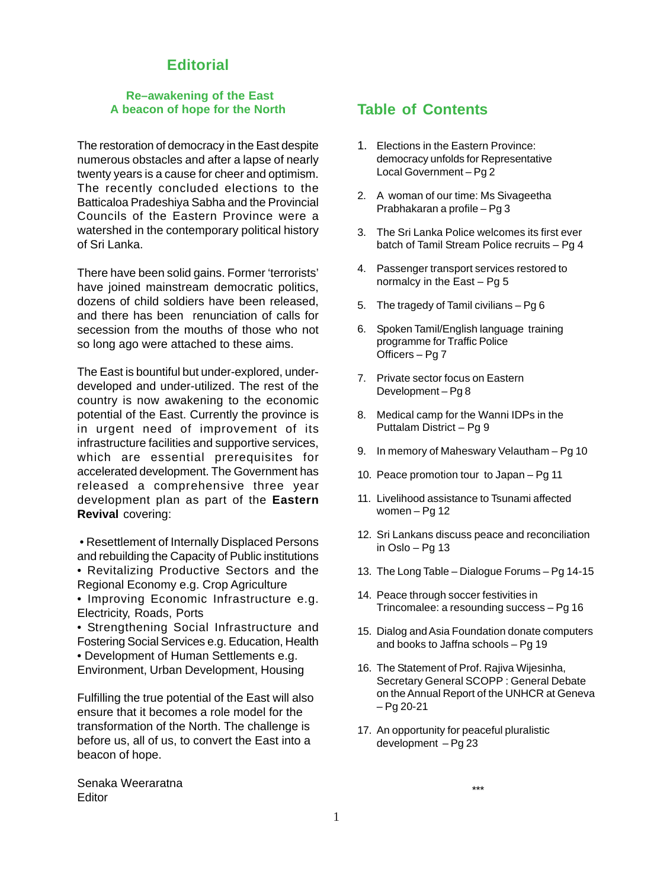## **Editorial**

#### **Re–awakening of the East A beacon of hope for the North**

The restoration of democracy in the East despite numerous obstacles and after a lapse of nearly twenty years is a cause for cheer and optimism. The recently concluded elections to the Batticaloa Pradeshiya Sabha and the Provincial Councils of the Eastern Province were a watershed in the contemporary political history of Sri Lanka.

There have been solid gains. Former 'terrorists' have joined mainstream democratic politics, dozens of child soldiers have been released, and there has been renunciation of calls for secession from the mouths of those who not so long ago were attached to these aims.

The East is bountiful but under-explored, underdeveloped and under-utilized. The rest of the country is now awakening to the economic potential of the East. Currently the province is in urgent need of improvement of its infrastructure facilities and supportive services, which are essential prerequisites for accelerated development. The Government has released a comprehensive three year development plan as part of the **Eastern Revival** covering:

- Resettlement of Internally Displaced Persons and rebuilding the Capacity of Public institutions • Revitalizing Productive Sectors and the Regional Economy e.g. Crop Agriculture
- Improving Economic Infrastructure e.g. Electricity, Roads, Ports
- Strengthening Social Infrastructure and Fostering Social Services e.g. Education, Health • Development of Human Settlements e.g.
- Environment, Urban Development, Housing

Fulfilling the true potential of the East will also ensure that it becomes a role model for the transformation of the North. The challenge is before us, all of us, to convert the East into a beacon of hope.

Senaka Weeraratna **Editor** 

## **Table of Contents**

- 1. Elections in the Eastern Province: democracy unfolds for Representative Local Government – Pg 2
- 2. A woman of our time: Ms Sivageetha Prabhakaran a profile – Pg 3
- 3. The Sri Lanka Police welcomes its first ever batch of Tamil Stream Police recruits – Pg 4
- 4. Passenger transport services restored to normalcy in the East – Pg 5
- 5. The tragedy of Tamil civilians Pg 6
- 6. Spoken Tamil/English language training programme for Traffic Police Officers – Pg 7
- 7. Private sector focus on Eastern Development – Pg 8
- 8. Medical camp for the Wanni IDPs in the Puttalam District – Pg 9
- 9. In memory of Maheswary Velautham Pg 10
- 10. Peace promotion tour to Japan Pg 11
- 11. Livelihood assistance to Tsunami affected women – Pg 12
- 12. Sri Lankans discuss peace and reconciliation in Oslo – Pg 13
- 13. The Long Table Dialogue Forums Pg 14-15
- 14. Peace through soccer festivities in Trincomalee: a resounding success – Pg 16
- 15. Dialog and Asia Foundation donate computers and books to Jaffna schools – Pg 19
- 16. The Statement of Prof. Rajiva Wijesinha, Secretary General SCOPP : General Debate on the Annual Report of the UNHCR at Geneva – Pg 20-21
- 17. An opportunity for peaceful pluralistic development – Pg 23

\*\*\*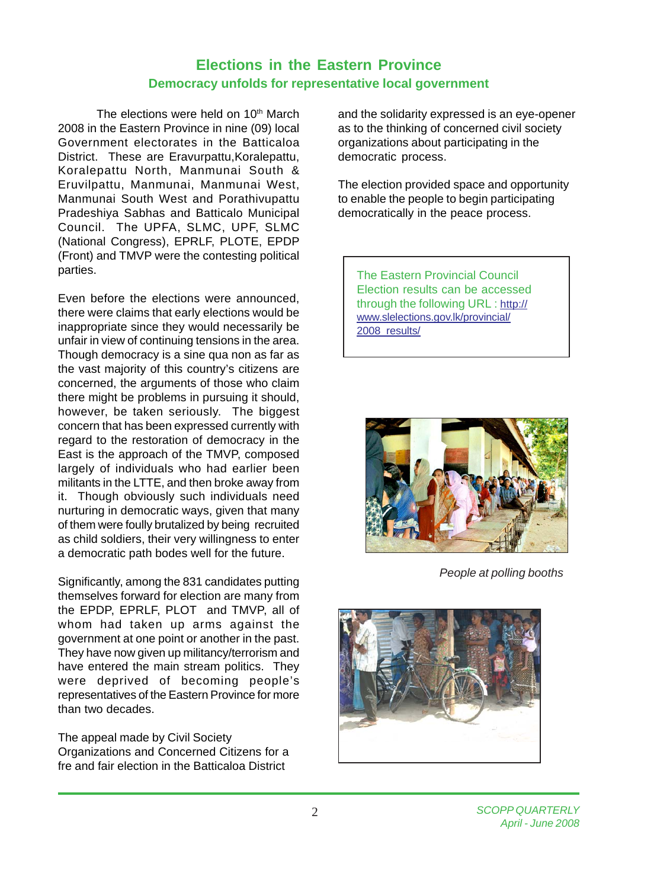## **Elections in the Eastern Province Democracy unfolds for representative local government**

The elections were held on 10<sup>th</sup> March 2008 in the Eastern Province in nine (09) local Government electorates in the Batticaloa District. These are Eravurpattu, Koralepattu, Koralepattu North, Manmunai South & Eruvilpattu, Manmunai, Manmunai West, Manmunai South West and Porathivupattu Pradeshiya Sabhas and Batticalo Municipal Council. The UPFA, SLMC, UPF, SLMC (National Congress), EPRLF, PLOTE, EPDP (Front) and TMVP were the contesting political parties.

Even before the elections were announced, there were claims that early elections would be inappropriate since they would necessarily be unfair in view of continuing tensions in the area. Though democracy is a sine qua non as far as the vast majority of this country's citizens are concerned, the arguments of those who claim there might be problems in pursuing it should, however, be taken seriously. The biggest concern that has been expressed currently with regard to the restoration of democracy in the East is the approach of the TMVP, composed largely of individuals who had earlier been militants in the LTTE, and then broke away from it. Though obviously such individuals need nurturing in democratic ways, given that many of them were foully brutalized by being recruited as child soldiers, their very willingness to enter a democratic path bodes well for the future.

Significantly, among the 831 candidates putting themselves forward for election are many from the EPDP, EPRLF, PLOT and TMVP, all of whom had taken up arms against the government at one point or another in the past. They have now given up militancy/terrorism and have entered the main stream politics. They were deprived of becoming people's representatives of the Eastern Province for more than two decades.

The appeal made by Civil Society Organizations and Concerned Citizens for a fre and fair election in the Batticaloa District

and the solidarity expressed is an eye-opener as to the thinking of concerned civil society organizations about participating in the democratic process.

The election provided space and opportunity to enable the people to begin participating democratically in the peace process.

The Eastern Provincial Council Election results can be accessed through the following URL : http:// www.slelections.gov.lk/provincial/ 2008\_results/



*People at polling booths*

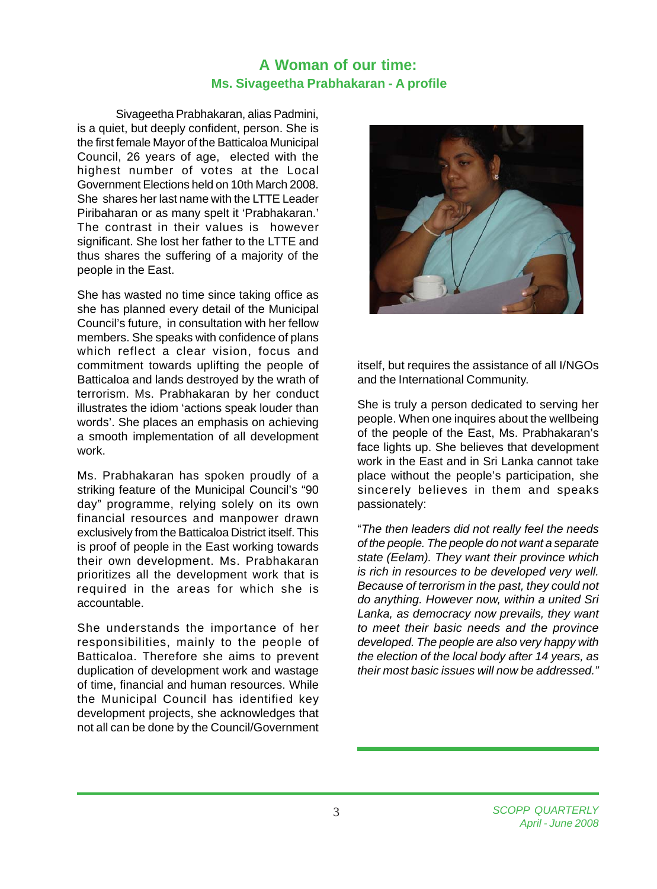## **A Woman of our time: Ms. Sivageetha Prabhakaran - A profile**

Sivageetha Prabhakaran, alias Padmini, is a quiet, but deeply confident, person. She is the first female Mayor of the Batticaloa Municipal Council, 26 years of age, elected with the highest number of votes at the Local Government Elections held on 10th March 2008. She shares her last name with the LTTE Leader Piribaharan or as many spelt it 'Prabhakaran.' The contrast in their values is however significant. She lost her father to the LTTE and thus shares the suffering of a majority of the people in the East.

She has wasted no time since taking office as she has planned every detail of the Municipal Council's future, in consultation with her fellow members. She speaks with confidence of plans which reflect a clear vision, focus and commitment towards uplifting the people of Batticaloa and lands destroyed by the wrath of terrorism. Ms. Prabhakaran by her conduct illustrates the idiom 'actions speak louder than words'. She places an emphasis on achieving a smooth implementation of all development work.

Ms. Prabhakaran has spoken proudly of a striking feature of the Municipal Council's "90 day" programme, relying solely on its own financial resources and manpower drawn exclusively from the Batticaloa District itself. This is proof of people in the East working towards their own development. Ms. Prabhakaran prioritizes all the development work that is required in the areas for which she is accountable.

She understands the importance of her responsibilities, mainly to the people of Batticaloa. Therefore she aims to prevent duplication of development work and wastage of time, financial and human resources. While the Municipal Council has identified key development projects, she acknowledges that not all can be done by the Council/Government



itself, but requires the assistance of all I/NGOs and the International Community.

She is truly a person dedicated to serving her people. When one inquires about the wellbeing of the people of the East, Ms. Prabhakaran's face lights up. She believes that development work in the East and in Sri Lanka cannot take place without the people's participation, she sincerely believes in them and speaks passionately:

"*The then leaders did not really feel the needs of the people. The people do not want a separate state (Eelam). They want their province which is rich in resources to be developed very well. Because of terrorism in the past, they could not do anything. However now, within a united Sri Lanka, as democracy now prevails, they want to meet their basic needs and the province developed. The people are also very happy with the election of the local body after 14 years, as their most basic issues will now be addressed."*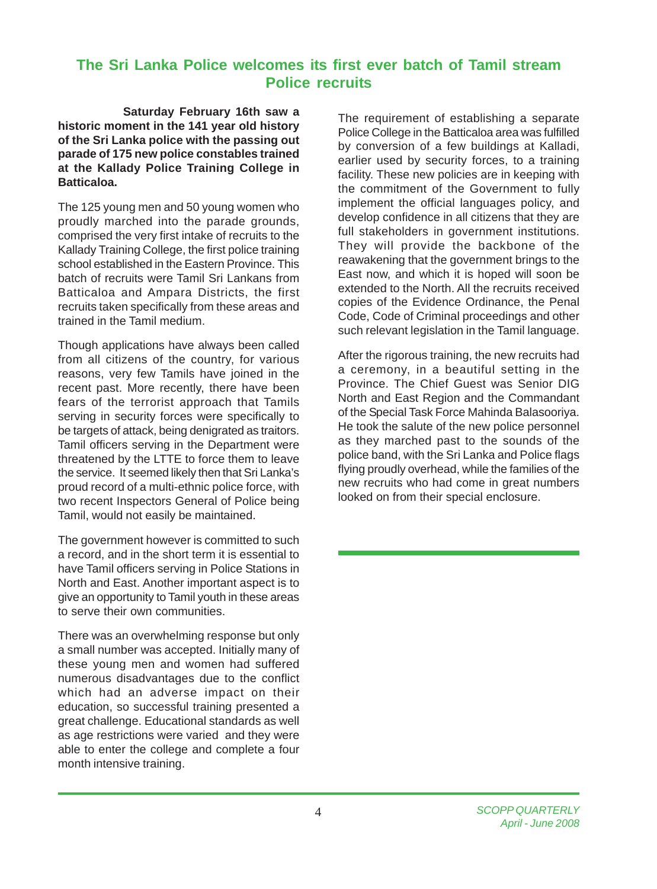## **The Sri Lanka Police welcomes its first ever batch of Tamil stream Police recruits**

 **Saturday February 16th saw a historic moment in the 141 year old history of the Sri Lanka police with the passing out parade of 175 new police constables trained at the Kallady Police Training College in Batticaloa.**

The 125 young men and 50 young women who proudly marched into the parade grounds, comprised the very first intake of recruits to the Kallady Training College, the first police training school established in the Eastern Province. This batch of recruits were Tamil Sri Lankans from Batticaloa and Ampara Districts, the first recruits taken specifically from these areas and trained in the Tamil medium.

Though applications have always been called from all citizens of the country, for various reasons, very few Tamils have joined in the recent past. More recently, there have been fears of the terrorist approach that Tamils serving in security forces were specifically to be targets of attack, being denigrated as traitors. Tamil officers serving in the Department were threatened by the LTTE to force them to leave the service. It seemed likely then that Sri Lanka's proud record of a multi-ethnic police force, with two recent Inspectors General of Police being Tamil, would not easily be maintained.

The government however is committed to such a record, and in the short term it is essential to have Tamil officers serving in Police Stations in North and East. Another important aspect is to give an opportunity to Tamil youth in these areas to serve their own communities.

There was an overwhelming response but only a small number was accepted. Initially many of these young men and women had suffered numerous disadvantages due to the conflict which had an adverse impact on their education, so successful training presented a great challenge. Educational standards as well as age restrictions were varied and they were able to enter the college and complete a four month intensive training.

The requirement of establishing a separate Police College in the Batticaloa area was fulfilled by conversion of a few buildings at Kalladi, earlier used by security forces, to a training facility. These new policies are in keeping with the commitment of the Government to fully implement the official languages policy, and develop confidence in all citizens that they are full stakeholders in government institutions. They will provide the backbone of the reawakening that the government brings to the East now, and which it is hoped will soon be extended to the North. All the recruits received copies of the Evidence Ordinance, the Penal Code, Code of Criminal proceedings and other such relevant legislation in the Tamil language.

After the rigorous training, the new recruits had a ceremony, in a beautiful setting in the Province. The Chief Guest was Senior DIG North and East Region and the Commandant of the Special Task Force Mahinda Balasooriya. He took the salute of the new police personnel as they marched past to the sounds of the police band, with the Sri Lanka and Police flags flying proudly overhead, while the families of the new recruits who had come in great numbers looked on from their special enclosure.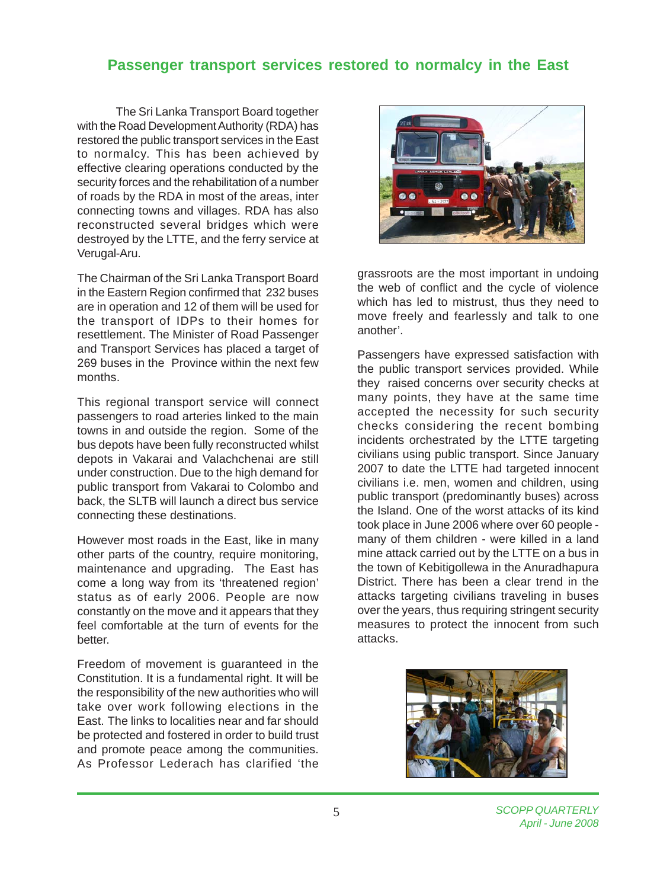## **Passenger transport services restored to normalcy in the East**

The Sri Lanka Transport Board together with the Road Development Authority (RDA) has restored the public transport services in the East to normalcy. This has been achieved by effective clearing operations conducted by the security forces and the rehabilitation of a number of roads by the RDA in most of the areas, inter connecting towns and villages. RDA has also reconstructed several bridges which were destroyed by the LTTE, and the ferry service at Verugal-Aru.

The Chairman of the Sri Lanka Transport Board in the Eastern Region confirmed that 232 buses are in operation and 12 of them will be used for the transport of IDPs to their homes for resettlement. The Minister of Road Passenger and Transport Services has placed a target of 269 buses in the Province within the next few months.

This regional transport service will connect passengers to road arteries linked to the main towns in and outside the region. Some of the bus depots have been fully reconstructed whilst depots in Vakarai and Valachchenai are still under construction. Due to the high demand for public transport from Vakarai to Colombo and back, the SLTB will launch a direct bus service connecting these destinations.

However most roads in the East, like in many other parts of the country, require monitoring, maintenance and upgrading. The East has come a long way from its 'threatened region' status as of early 2006. People are now constantly on the move and it appears that they feel comfortable at the turn of events for the better.

Freedom of movement is guaranteed in the Constitution. It is a fundamental right. It will be the responsibility of the new authorities who will take over work following elections in the East. The links to localities near and far should be protected and fostered in order to build trust and promote peace among the communities. As Professor Lederach has clarified 'the



grassroots are the most important in undoing the web of conflict and the cycle of violence which has led to mistrust, thus they need to move freely and fearlessly and talk to one another'.

Passengers have expressed satisfaction with the public transport services provided. While they raised concerns over security checks at many points, they have at the same time accepted the necessity for such security checks considering the recent bombing incidents orchestrated by the LTTE targeting civilians using public transport. Since January 2007 to date the LTTE had targeted innocent civilians i.e. men, women and children, using public transport (predominantly buses) across the Island. One of the worst attacks of its kind took place in June 2006 where over 60 people many of them children - were killed in a land mine attack carried out by the LTTE on a bus in the town of Kebitigollewa in the Anuradhapura District. There has been a clear trend in the attacks targeting civilians traveling in buses over the years, thus requiring stringent security measures to protect the innocent from such attacks.

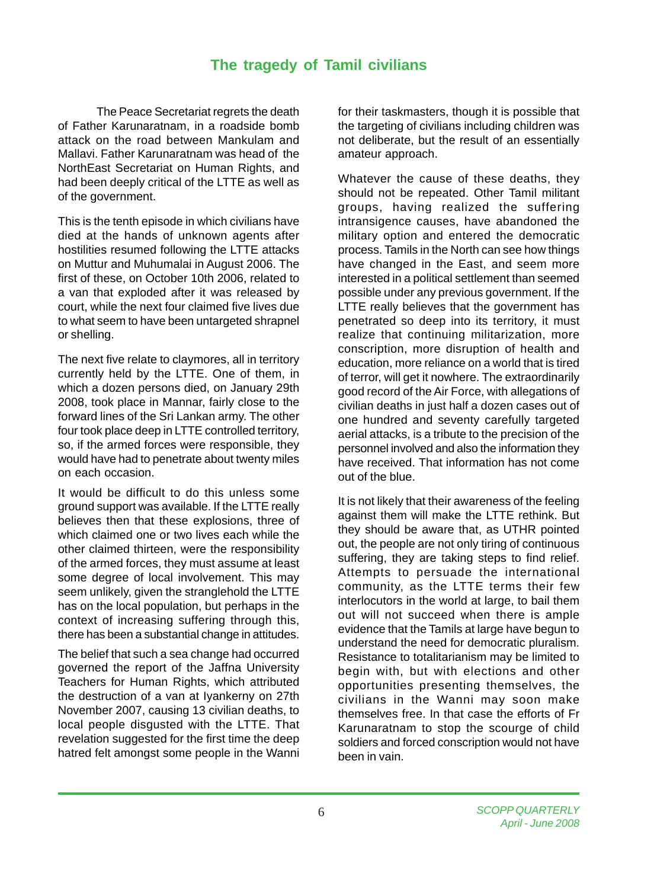## **The tragedy of Tamil civilians**

The Peace Secretariat regrets the death of Father Karunaratnam, in a roadside bomb attack on the road between Mankulam and Mallavi. Father Karunaratnam was head of the NorthEast Secretariat on Human Rights, and had been deeply critical of the LTTE as well as of the government.

This is the tenth episode in which civilians have died at the hands of unknown agents after hostilities resumed following the LTTE attacks on Muttur and Muhumalai in August 2006. The first of these, on October 10th 2006, related to a van that exploded after it was released by court, while the next four claimed five lives due to what seem to have been untargeted shrapnel or shelling.

The next five relate to claymores, all in territory currently held by the LTTE. One of them, in which a dozen persons died, on January 29th 2008, took place in Mannar, fairly close to the forward lines of the Sri Lankan army. The other four took place deep in LTTE controlled territory, so, if the armed forces were responsible, they would have had to penetrate about twenty miles on each occasion.

It would be difficult to do this unless some ground support was available. If the LTTE really believes then that these explosions, three of which claimed one or two lives each while the other claimed thirteen, were the responsibility of the armed forces, they must assume at least some degree of local involvement. This may seem unlikely, given the stranglehold the LTTE has on the local population, but perhaps in the context of increasing suffering through this, there has been a substantial change in attitudes.

The belief that such a sea change had occurred governed the report of the Jaffna University Teachers for Human Rights, which attributed the destruction of a van at Iyankerny on 27th November 2007, causing 13 civilian deaths, to local people disgusted with the LTTE. That revelation suggested for the first time the deep hatred felt amongst some people in the Wanni

for their taskmasters, though it is possible that the targeting of civilians including children was not deliberate, but the result of an essentially amateur approach.

Whatever the cause of these deaths, they should not be repeated. Other Tamil militant groups, having realized the suffering intransigence causes, have abandoned the military option and entered the democratic process. Tamils in the North can see how things have changed in the East, and seem more interested in a political settlement than seemed possible under any previous government. If the LTTE really believes that the government has penetrated so deep into its territory, it must realize that continuing militarization, more conscription, more disruption of health and education, more reliance on a world that is tired of terror, will get it nowhere. The extraordinarily good record of the Air Force, with allegations of civilian deaths in just half a dozen cases out of one hundred and seventy carefully targeted aerial attacks, is a tribute to the precision of the personnel involved and also the information they have received. That information has not come out of the blue.

It is not likely that their awareness of the feeling against them will make the LTTE rethink. But they should be aware that, as UTHR pointed out, the people are not only tiring of continuous suffering, they are taking steps to find relief. Attempts to persuade the international community, as the LTTE terms their few interlocutors in the world at large, to bail them out will not succeed when there is ample evidence that the Tamils at large have begun to understand the need for democratic pluralism. Resistance to totalitarianism may be limited to begin with, but with elections and other opportunities presenting themselves, the civilians in the Wanni may soon make themselves free. In that case the efforts of Fr Karunaratnam to stop the scourge of child soldiers and forced conscription would not have been in vain.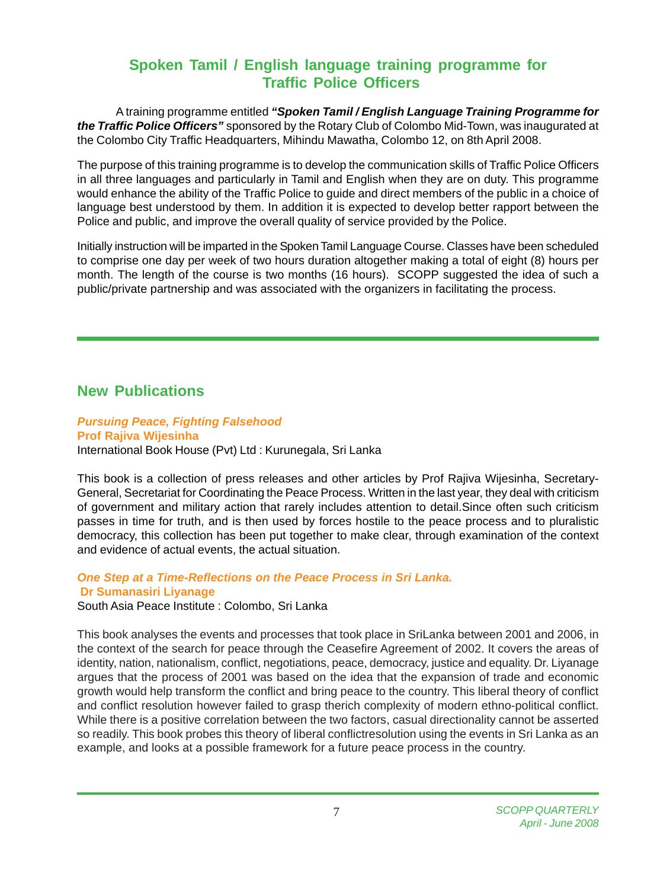# **Spoken Tamil / English language training programme for Traffic Police Officers**

A training programme entitled *"Spoken Tamil / English Language Training Programme for the Traffic Police Officers"* sponsored by the Rotary Club of Colombo Mid-Town, was inaugurated at the Colombo City Traffic Headquarters, Mihindu Mawatha, Colombo 12, on 8th April 2008.

The purpose of this training programme is to develop the communication skills of Traffic Police Officers in all three languages and particularly in Tamil and English when they are on duty. This programme would enhance the ability of the Traffic Police to guide and direct members of the public in a choice of language best understood by them. In addition it is expected to develop better rapport between the Police and public, and improve the overall quality of service provided by the Police.

Initially instruction will be imparted in the Spoken Tamil Language Course. Classes have been scheduled to comprise one day per week of two hours duration altogether making a total of eight (8) hours per month. The length of the course is two months (16 hours). SCOPP suggested the idea of such a public/private partnership and was associated with the organizers in facilitating the process.

## **New Publications**

### *Pursuing Peace, Fighting Falsehood* **Prof Rajiva Wijesinha** International Book House (Pvt) Ltd : Kurunegala, Sri Lanka

This book is a collection of press releases and other articles by Prof Rajiva Wijesinha, Secretary-General, Secretariat for Coordinating the Peace Process. Written in the last year, they deal with criticism of government and military action that rarely includes attention to detail.Since often such criticism passes in time for truth, and is then used by forces hostile to the peace process and to pluralistic democracy, this collection has been put together to make clear, through examination of the context and evidence of actual events, the actual situation.

## *One Step at a Time-Reflections on the Peace Process in Sri Lanka.*  **Dr Sumanasiri Liyanage**

South Asia Peace Institute : Colombo, Sri Lanka

This book analyses the events and processes that took place in SriLanka between 2001 and 2006, in the context of the search for peace through the Ceasefire Agreement of 2002. It covers the areas of identity, nation, nationalism, conflict, negotiations, peace, democracy, justice and equality. Dr. Liyanage argues that the process of 2001 was based on the idea that the expansion of trade and economic growth would help transform the conflict and bring peace to the country. This liberal theory of conflict and conflict resolution however failed to grasp therich complexity of modern ethno-political conflict. While there is a positive correlation between the two factors, casual directionality cannot be asserted so readily. This book probes this theory of liberal conflictresolution using the events in Sri Lanka as an example, and looks at a possible framework for a future peace process in the country.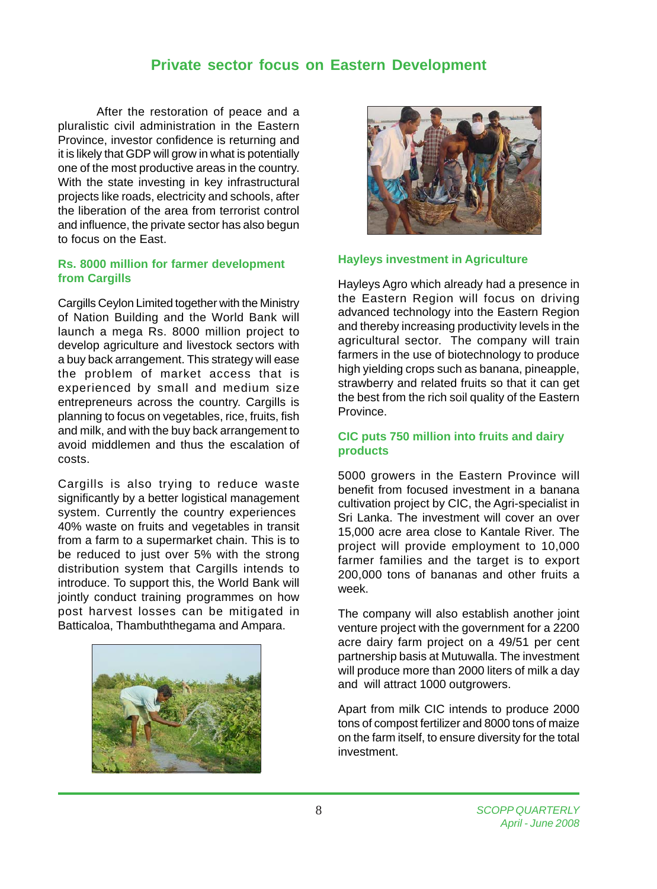## **Private sector focus on Eastern Development**

After the restoration of peace and a pluralistic civil administration in the Eastern Province, investor confidence is returning and it is likely that GDP will grow in what is potentially one of the most productive areas in the country. With the state investing in key infrastructural projects like roads, electricity and schools, after the liberation of the area from terrorist control and influence, the private sector has also begun to focus on the East.

### **Rs. 8000 million for farmer development from Cargills**

Cargills Ceylon Limited together with the Ministry of Nation Building and the World Bank will launch a mega Rs. 8000 million project to develop agriculture and livestock sectors with a buy back arrangement. This strategy will ease the problem of market access that is experienced by small and medium size entrepreneurs across the country. Cargills is planning to focus on vegetables, rice, fruits, fish and milk, and with the buy back arrangement to avoid middlemen and thus the escalation of costs.

Cargills is also trying to reduce waste significantly by a better logistical management system. Currently the country experiences 40% waste on fruits and vegetables in transit from a farm to a supermarket chain. This is to be reduced to just over 5% with the strong distribution system that Cargills intends to introduce. To support this, the World Bank will jointly conduct training programmes on how post harvest losses can be mitigated in Batticaloa, Thambuththegama and Ampara.





#### **Hayleys investment in Agriculture**

Hayleys Agro which already had a presence in the Eastern Region will focus on driving advanced technology into the Eastern Region and thereby increasing productivity levels in the agricultural sector. The company will train farmers in the use of biotechnology to produce high yielding crops such as banana, pineapple, strawberry and related fruits so that it can get the best from the rich soil quality of the Eastern Province.

### **CIC puts 750 million into fruits and dairy products**

5000 growers in the Eastern Province will benefit from focused investment in a banana cultivation project by CIC, the Agri-specialist in Sri Lanka. The investment will cover an over 15,000 acre area close to Kantale River. The project will provide employment to 10,000 farmer families and the target is to export 200,000 tons of bananas and other fruits a week.

The company will also establish another joint venture project with the government for a 2200 acre dairy farm project on a 49/51 per cent partnership basis at Mutuwalla. The investment will produce more than 2000 liters of milk a day and will attract 1000 outgrowers.

Apart from milk CIC intends to produce 2000 tons of compost fertilizer and 8000 tons of maize on the farm itself, to ensure diversity for the total investment.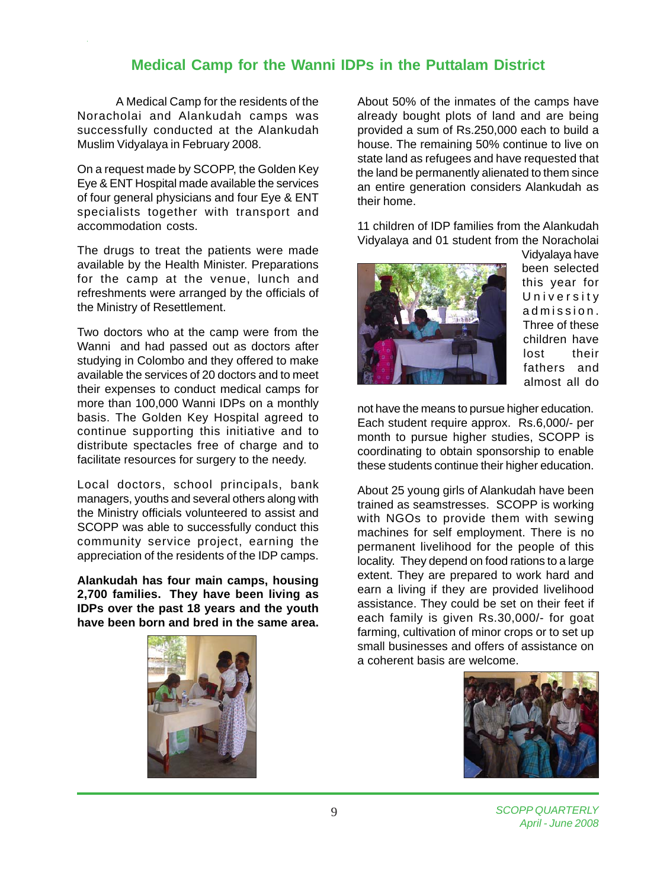## **Medical Camp for the Wanni IDPs in the Puttalam District**

A Medical Camp for the residents of the Noracholai and Alankudah camps was successfully conducted at the Alankudah Muslim Vidyalaya in February 2008.

On a request made by SCOPP, the Golden Key Eye & ENT Hospital made available the services of four general physicians and four Eye & ENT specialists together with transport and accommodation costs.

The drugs to treat the patients were made available by the Health Minister. Preparations for the camp at the venue, lunch and refreshments were arranged by the officials of the Ministry of Resettlement.

Two doctors who at the camp were from the Wanni and had passed out as doctors after studying in Colombo and they offered to make available the services of 20 doctors and to meet their expenses to conduct medical camps for more than 100,000 Wanni IDPs on a monthly basis. The Golden Key Hospital agreed to continue supporting this initiative and to distribute spectacles free of charge and to facilitate resources for surgery to the needy.

Local doctors, school principals, bank managers, youths and several others along with the Ministry officials volunteered to assist and SCOPP was able to successfully conduct this community service project, earning the appreciation of the residents of the IDP camps.

**Alankudah has four main camps, housing 2,700 families. They have been living as IDPs over the past 18 years and the youth have been born and bred in the same area.**



About 50% of the inmates of the camps have already bought plots of land and are being provided a sum of Rs.250,000 each to build a house. The remaining 50% continue to live on state land as refugees and have requested that the land be permanently alienated to them since an entire generation considers Alankudah as their home.

11 children of IDP families from the Alankudah Vidyalaya and 01 student from the Noracholai



Vidyalaya have been selected this year for University admission. Three of these children have lost their fathers and almost all do

not have the means to pursue higher education. Each student require approx. Rs.6,000/- per month to pursue higher studies, SCOPP is coordinating to obtain sponsorship to enable these students continue their higher education.

About 25 young girls of Alankudah have been trained as seamstresses. SCOPP is working with NGOs to provide them with sewing machines for self employment. There is no permanent livelihood for the people of this locality. They depend on food rations to a large extent. They are prepared to work hard and earn a living if they are provided livelihood assistance. They could be set on their feet if each family is given Rs.30,000/- for goat farming, cultivation of minor crops or to set up small businesses and offers of assistance on a coherent basis are welcome.

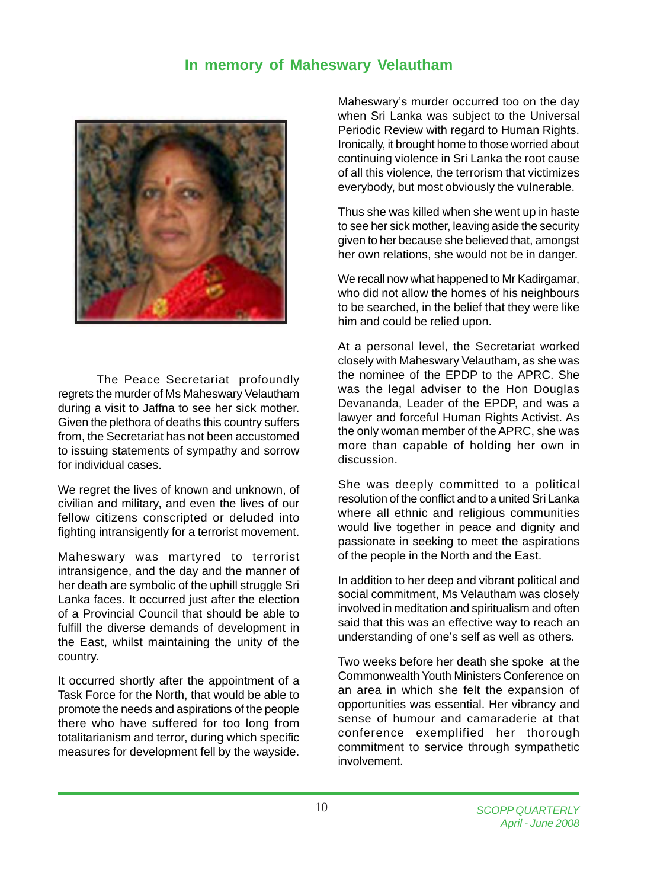## **In memory of Maheswary Velautham**



The Peace Secretariat profoundly regrets the murder of Ms Maheswary Velautham during a visit to Jaffna to see her sick mother. Given the plethora of deaths this country suffers from, the Secretariat has not been accustomed to issuing statements of sympathy and sorrow for individual cases.

We regret the lives of known and unknown, of civilian and military, and even the lives of our fellow citizens conscripted or deluded into fighting intransigently for a terrorist movement.

Maheswary was martyred to terrorist intransigence, and the day and the manner of her death are symbolic of the uphill struggle Sri Lanka faces. It occurred just after the election of a Provincial Council that should be able to fulfill the diverse demands of development in the East, whilst maintaining the unity of the country.

It occurred shortly after the appointment of a Task Force for the North, that would be able to promote the needs and aspirations of the people there who have suffered for too long from totalitarianism and terror, during which specific measures for development fell by the wayside.

Maheswary's murder occurred too on the day when Sri Lanka was subject to the Universal Periodic Review with regard to Human Rights. Ironically, it brought home to those worried about continuing violence in Sri Lanka the root cause of all this violence, the terrorism that victimizes everybody, but most obviously the vulnerable.

Thus she was killed when she went up in haste to see her sick mother, leaving aside the security given to her because she believed that, amongst her own relations, she would not be in danger.

We recall now what happened to Mr Kadirgamar, who did not allow the homes of his neighbours to be searched, in the belief that they were like him and could be relied upon.

At a personal level, the Secretariat worked closely with Maheswary Velautham, as she was the nominee of the EPDP to the APRC. She was the legal adviser to the Hon Douglas Devananda, Leader of the EPDP, and was a lawyer and forceful Human Rights Activist. As the only woman member of the APRC, she was more than capable of holding her own in discussion.

She was deeply committed to a political resolution of the conflict and to a united Sri Lanka where all ethnic and religious communities would live together in peace and dignity and passionate in seeking to meet the aspirations of the people in the North and the East.

In addition to her deep and vibrant political and social commitment, Ms Velautham was closely involved in meditation and spiritualism and often said that this was an effective way to reach an understanding of one's self as well as others.

Two weeks before her death she spoke at the Commonwealth Youth Ministers Conference on an area in which she felt the expansion of opportunities was essential. Her vibrancy and sense of humour and camaraderie at that conference exemplified her thorough commitment to service through sympathetic involvement.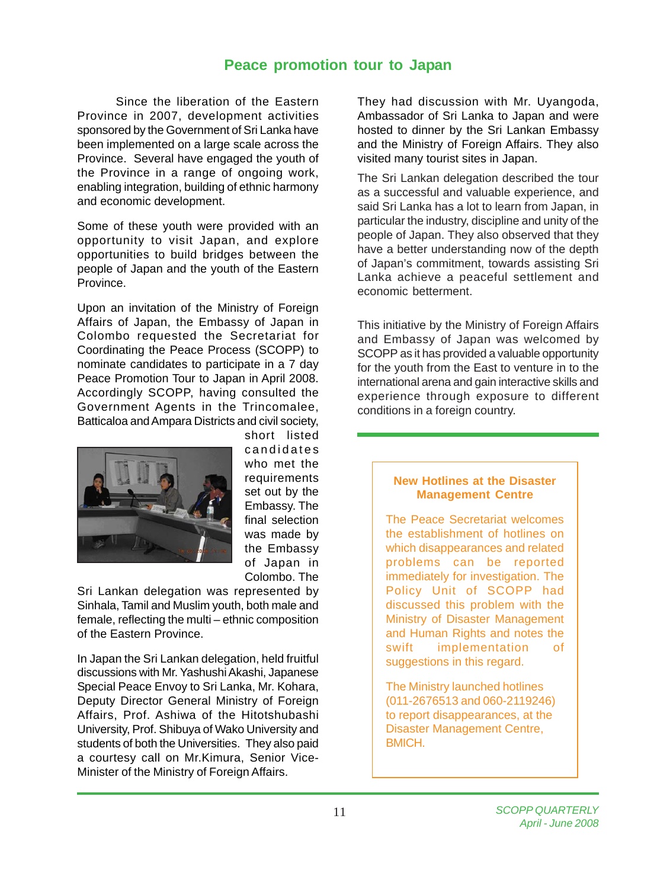## **Peace promotion tour to Japan**

Since the liberation of the Eastern Province in 2007, development activities sponsored by the Government of Sri Lanka have been implemented on a large scale across the Province. Several have engaged the youth of the Province in a range of ongoing work, enabling integration, building of ethnic harmony and economic development.

Some of these youth were provided with an opportunity to visit Japan, and explore opportunities to build bridges between the people of Japan and the youth of the Eastern Province.

Upon an invitation of the Ministry of Foreign Affairs of Japan, the Embassy of Japan in Colombo requested the Secretariat for Coordinating the Peace Process (SCOPP) to nominate candidates to participate in a 7 day Peace Promotion Tour to Japan in April 2008. Accordingly SCOPP, having consulted the Government Agents in the Trincomalee, Batticaloa and Ampara Districts and civil society,



short listed candidates who met the requirements set out by the Embassy. The final selection was made by the Embassy of Japan in Colombo. The

Sri Lankan delegation was represented by Sinhala, Tamil and Muslim youth, both male and female, reflecting the multi – ethnic composition of the Eastern Province.

In Japan the Sri Lankan delegation, held fruitful discussions with Mr. Yashushi Akashi, Japanese Special Peace Envoy to Sri Lanka, Mr. Kohara, Deputy Director General Ministry of Foreign Affairs, Prof. Ashiwa of the Hitotshubashi University, Prof. Shibuya of Wako University and students of both the Universities. They also paid a courtesy call on Mr.Kimura, Senior Vice-Minister of the Ministry of Foreign Affairs.

They had discussion with Mr. Uyangoda, Ambassador of Sri Lanka to Japan and were hosted to dinner by the Sri Lankan Embassy and the Ministry of Foreign Affairs. They also visited many tourist sites in Japan.

The Sri Lankan delegation described the tour as a successful and valuable experience, and said Sri Lanka has a lot to learn from Japan, in particular the industry, discipline and unity of the people of Japan. They also observed that they have a better understanding now of the depth of Japan's commitment, towards assisting Sri Lanka achieve a peaceful settlement and economic betterment.

This initiative by the Ministry of Foreign Affairs and Embassy of Japan was welcomed by SCOPP as it has provided a valuable opportunity for the youth from the East to venture in to the international arena and gain interactive skills and experience through exposure to different conditions in a foreign country.

### **New Hotlines at the Disaster Management Centre**

The Peace Secretariat welcomes the establishment of hotlines on which disappearances and related problems can be reported immediately for investigation. The Policy Unit of SCOPP had discussed this problem with the Ministry of Disaster Management and Human Rights and notes the swift implementation of suggestions in this regard.

The Ministry launched hotlines (011-2676513 and 060-2119246) to report disappearances, at the Disaster Management Centre, BMICH.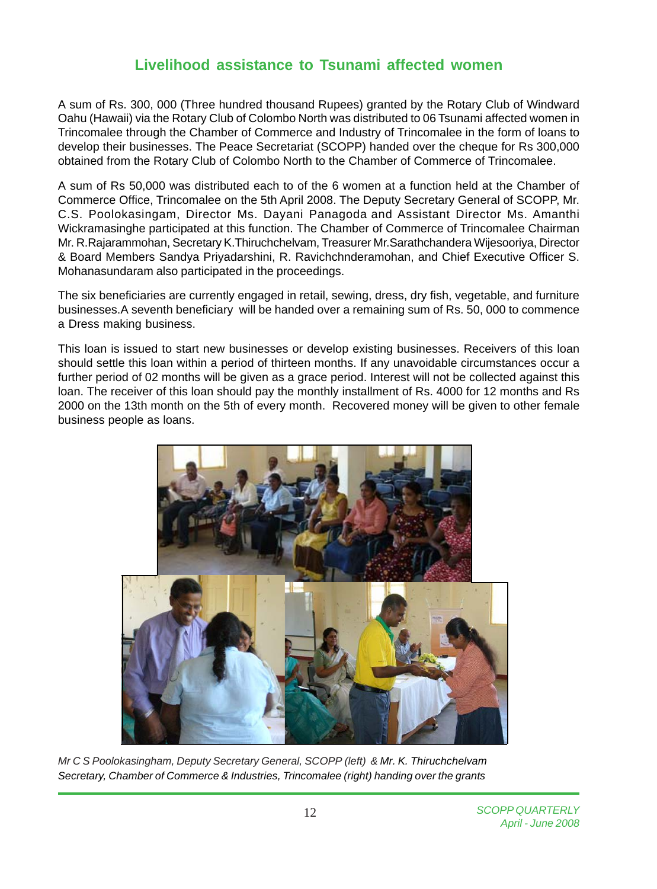## **Livelihood assistance to Tsunami affected women**

A sum of Rs. 300, 000 (Three hundred thousand Rupees) granted by the Rotary Club of Windward Oahu (Hawaii) via the Rotary Club of Colombo North was distributed to 06 Tsunami affected women in Trincomalee through the Chamber of Commerce and Industry of Trincomalee in the form of loans to develop their businesses. The Peace Secretariat (SCOPP) handed over the cheque for Rs 300,000 obtained from the Rotary Club of Colombo North to the Chamber of Commerce of Trincomalee.

A sum of Rs 50,000 was distributed each to of the 6 women at a function held at the Chamber of Commerce Office, Trincomalee on the 5th April 2008. The Deputy Secretary General of SCOPP, Mr. C.S. Poolokasingam, Director Ms. Dayani Panagoda and Assistant Director Ms. Amanthi Wickramasinghe participated at this function. The Chamber of Commerce of Trincomalee Chairman Mr. R.Rajarammohan, Secretary K.Thiruchchelvam, Treasurer Mr.Sarathchandera Wijesooriya, Director & Board Members Sandya Priyadarshini, R. Ravichchnderamohan, and Chief Executive Officer S. Mohanasundaram also participated in the proceedings.

The six beneficiaries are currently engaged in retail, sewing, dress, dry fish, vegetable, and furniture businesses.A seventh beneficiary will be handed over a remaining sum of Rs. 50, 000 to commence a Dress making business.

This loan is issued to start new businesses or develop existing businesses. Receivers of this loan should settle this loan within a period of thirteen months. If any unavoidable circumstances occur a further period of 02 months will be given as a grace period. Interest will not be collected against this loan. The receiver of this loan should pay the monthly installment of Rs. 4000 for 12 months and Rs 2000 on the 13th month on the 5th of every month. Recovered money will be given to other female business people as loans.



*Mr C S Poolokasingham, Deputy Secretary General, SCOPP (left) & Mr. K. Thiruchchelvam Secretary, Chamber of Commerce & Industries, Trincomalee (right) handing over the grants*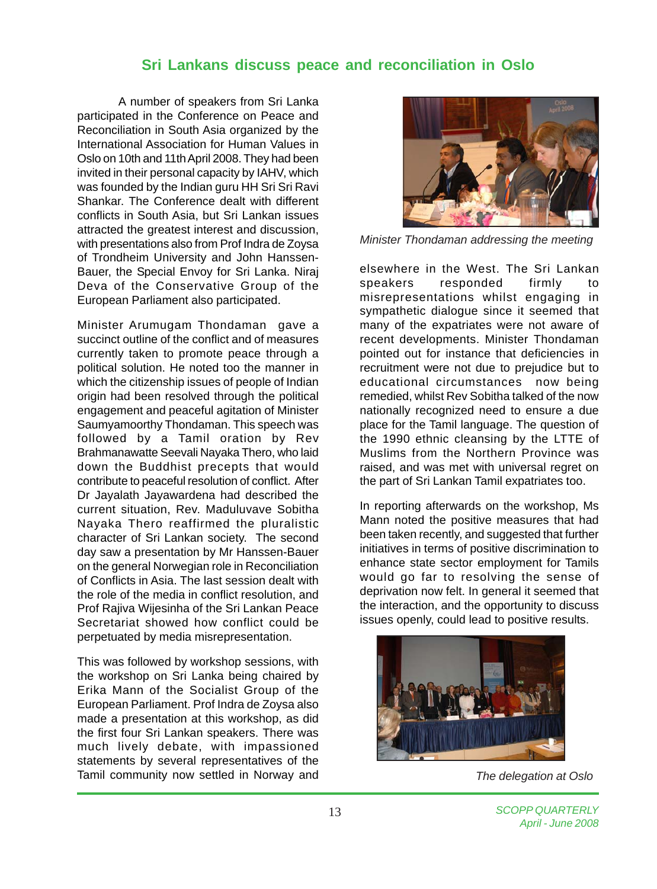## **Sri Lankans discuss peace and reconciliation in Oslo**

A number of speakers from Sri Lanka participated in the Conference on Peace and Reconciliation in South Asia organized by the International Association for Human Values in Oslo on 10th and 11th April 2008. They had been invited in their personal capacity by IAHV, which was founded by the Indian guru HH Sri Sri Ravi Shankar. The Conference dealt with different conflicts in South Asia, but Sri Lankan issues attracted the greatest interest and discussion, with presentations also from Prof Indra de Zoysa of Trondheim University and John Hanssen-Bauer, the Special Envoy for Sri Lanka. Niraj Deva of the Conservative Group of the European Parliament also participated.

Minister Arumugam Thondaman gave a succinct outline of the conflict and of measures currently taken to promote peace through a political solution. He noted too the manner in which the citizenship issues of people of Indian origin had been resolved through the political engagement and peaceful agitation of Minister Saumyamoorthy Thondaman. This speech was followed by a Tamil oration by Rev Brahmanawatte Seevali Nayaka Thero, who laid down the Buddhist precepts that would contribute to peaceful resolution of conflict. After Dr Jayalath Jayawardena had described the current situation, Rev. Maduluvave Sobitha Nayaka Thero reaffirmed the pluralistic character of Sri Lankan society. The second day saw a presentation by Mr Hanssen-Bauer on the general Norwegian role in Reconciliation of Conflicts in Asia. The last session dealt with the role of the media in conflict resolution, and Prof Rajiva Wijesinha of the Sri Lankan Peace Secretariat showed how conflict could be perpetuated by media misrepresentation.

This was followed by workshop sessions, with the workshop on Sri Lanka being chaired by Erika Mann of the Socialist Group of the European Parliament. Prof Indra de Zoysa also made a presentation at this workshop, as did the first four Sri Lankan speakers. There was much lively debate, with impassioned statements by several representatives of the Tamil community now settled in Norway and



*Minister Thondaman addressing the meeting*

elsewhere in the West. The Sri Lankan speakers responded firmly to misrepresentations whilst engaging in sympathetic dialogue since it seemed that many of the expatriates were not aware of recent developments. Minister Thondaman pointed out for instance that deficiencies in recruitment were not due to prejudice but to educational circumstances now being remedied, whilst Rev Sobitha talked of the now nationally recognized need to ensure a due place for the Tamil language. The question of the 1990 ethnic cleansing by the LTTE of Muslims from the Northern Province was raised, and was met with universal regret on the part of Sri Lankan Tamil expatriates too.

In reporting afterwards on the workshop, Ms Mann noted the positive measures that had been taken recently, and suggested that further initiatives in terms of positive discrimination to enhance state sector employment for Tamils would go far to resolving the sense of deprivation now felt. In general it seemed that the interaction, and the opportunity to discuss issues openly, could lead to positive results.



*The delegation at Oslo*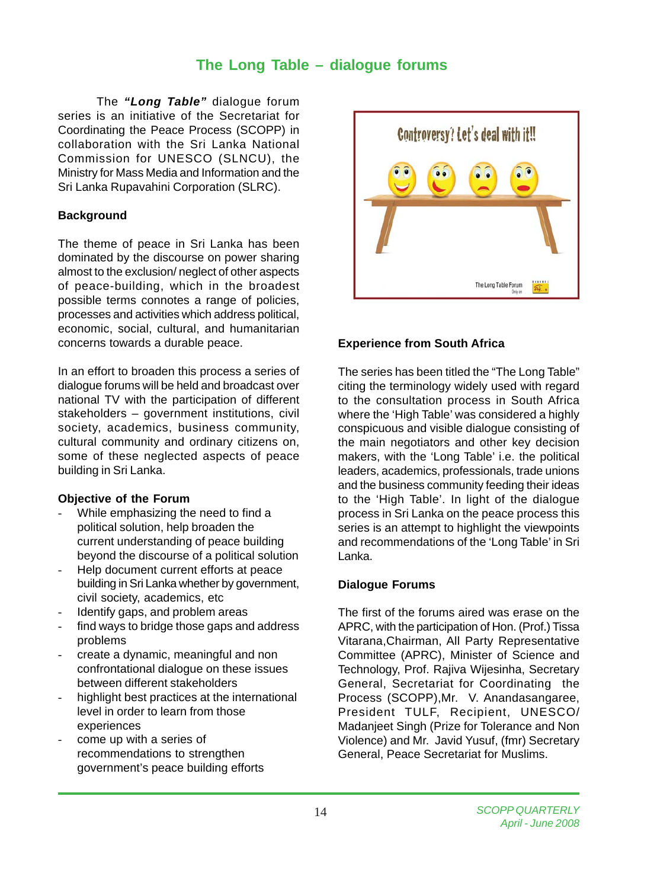## **The Long Table – dialogue forums**

The *"Long Table"* dialogue forum series is an initiative of the Secretariat for Coordinating the Peace Process (SCOPP) in collaboration with the Sri Lanka National Commission for UNESCO (SLNCU), the Ministry for Mass Media and Information and the Sri Lanka Rupavahini Corporation (SLRC).

### **Background**

The theme of peace in Sri Lanka has been dominated by the discourse on power sharing almost to the exclusion/ neglect of other aspects of peace-building, which in the broadest possible terms connotes a range of policies, processes and activities which address political, economic, social, cultural, and humanitarian concerns towards a durable peace.

In an effort to broaden this process a series of dialogue forums will be held and broadcast over national TV with the participation of different stakeholders – government institutions, civil society, academics, business community, cultural community and ordinary citizens on, some of these neglected aspects of peace building in Sri Lanka.

### **Objective of the Forum**

- While emphasizing the need to find a political solution, help broaden the current understanding of peace building beyond the discourse of a political solution
- Help document current efforts at peace building in Sri Lanka whether by government, civil society, academics, etc
- Identify gaps, and problem areas
- find ways to bridge those gaps and address problems
- create a dynamic, meaningful and non confrontational dialogue on these issues between different stakeholders
- highlight best practices at the international level in order to learn from those experiences
- come up with a series of recommendations to strengthen government's peace building efforts



### **Experience from South Africa**

The series has been titled the "The Long Table" citing the terminology widely used with regard to the consultation process in South Africa where the 'High Table' was considered a highly conspicuous and visible dialogue consisting of the main negotiators and other key decision makers, with the 'Long Table' i.e. the political leaders, academics, professionals, trade unions and the business community feeding their ideas to the 'High Table'. In light of the dialogue process in Sri Lanka on the peace process this series is an attempt to highlight the viewpoints and recommendations of the 'Long Table' in Sri Lanka.

### **Dialogue Forums**

The first of the forums aired was erase on the APRC, with the participation of Hon. (Prof.) Tissa Vitarana,Chairman, All Party Representative Committee (APRC), Minister of Science and Technology, Prof. Rajiva Wijesinha, Secretary General, Secretariat for Coordinating the Process (SCOPP),Mr. V. Anandasangaree, President TULF, Recipient, UNESCO/ Madanjeet Singh (Prize for Tolerance and Non Violence) and Mr. Javid Yusuf, (fmr) Secretary General, Peace Secretariat for Muslims.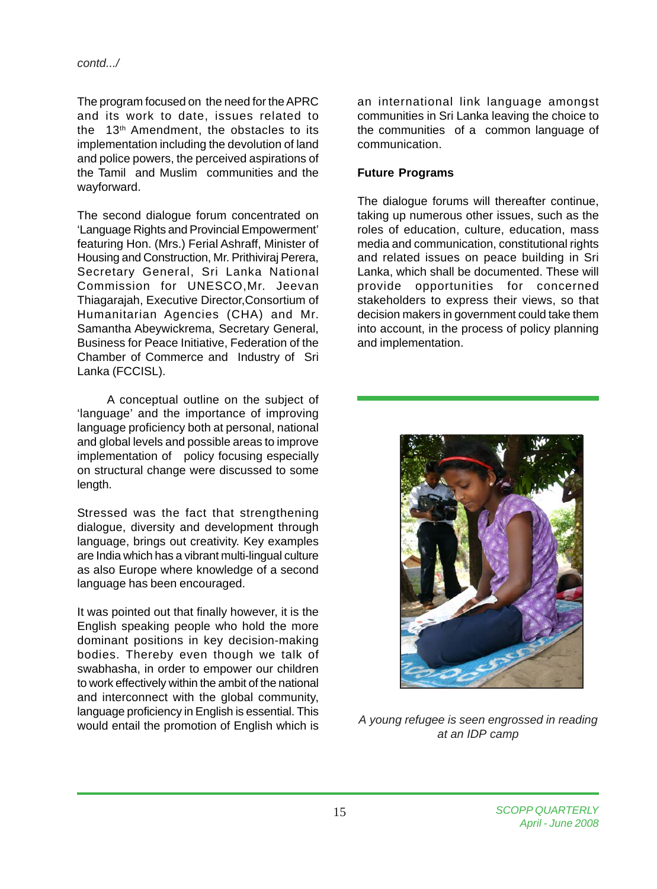The program focused on the need for the APRC and its work to date, issues related to the 13th Amendment, the obstacles to its implementation including the devolution of land and police powers, the perceived aspirations of the Tamil and Muslim communities and the wayforward.

The second dialogue forum concentrated on 'Language Rights and Provincial Empowerment' featuring Hon. (Mrs.) Ferial Ashraff, Minister of Housing and Construction, Mr. Prithiviraj Perera, Secretary General, Sri Lanka National Commission for UNESCO,Mr. Jeevan Thiagarajah, Executive Director,Consortium of Humanitarian Agencies (CHA) and Mr. Samantha Abeywickrema, Secretary General, Business for Peace Initiative, Federation of the Chamber of Commerce and Industry of Sri Lanka (FCCISL).

 A conceptual outline on the subject of 'language' and the importance of improving language proficiency both at personal, national and global levels and possible areas to improve implementation of policy focusing especially on structural change were discussed to some length.

Stressed was the fact that strengthening dialogue, diversity and development through language, brings out creativity. Key examples are India which has a vibrant multi-lingual culture as also Europe where knowledge of a second language has been encouraged.

It was pointed out that finally however, it is the English speaking people who hold the more dominant positions in key decision-making bodies. Thereby even though we talk of swabhasha, in order to empower our children to work effectively within the ambit of the national and interconnect with the global community, language proficiency in English is essential. This would entail the promotion of English which is

an international link language amongst communities in Sri Lanka leaving the choice to the communities of a common language of communication.

### **Future Programs**

The dialogue forums will thereafter continue, taking up numerous other issues, such as the roles of education, culture, education, mass media and communication, constitutional rights and related issues on peace building in Sri Lanka, which shall be documented. These will provide opportunities for concerned stakeholders to express their views, so that decision makers in government could take them into account, in the process of policy planning and implementation.



*A young refugee is seen engrossed in reading at an IDP camp*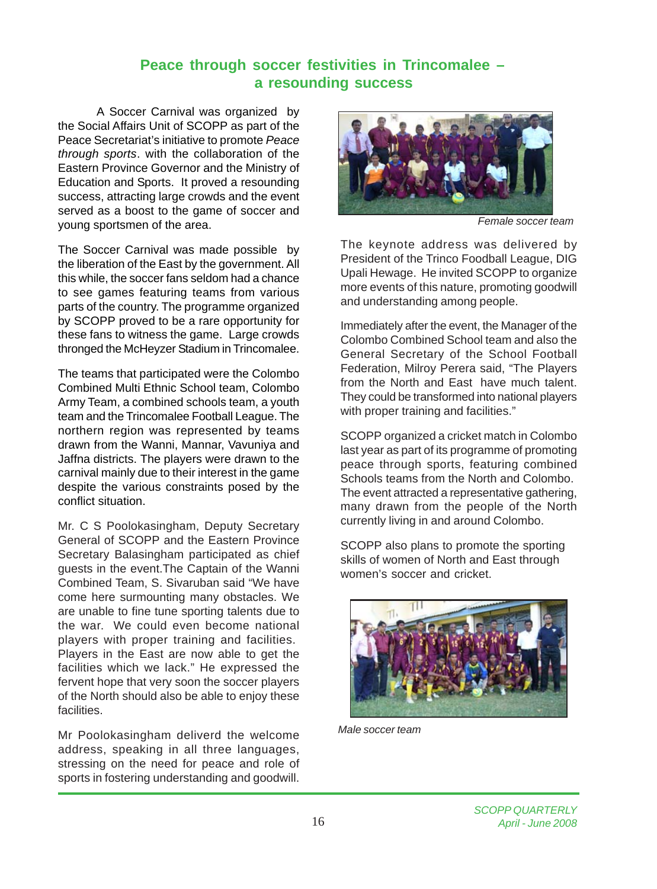## **Peace through soccer festivities in Trincomalee – a resounding success**

A Soccer Carnival was organized by the Social Affairs Unit of SCOPP as part of the Peace Secretariat's initiative to promote *Peace through sports*. with the collaboration of the Eastern Province Governor and the Ministry of Education and Sports. It proved a resounding success, attracting large crowds and the event served as a boost to the game of soccer and young sportsmen of the area.

The Soccer Carnival was made possible by the liberation of the East by the government. All this while, the soccer fans seldom had a chance to see games featuring teams from various parts of the country. The programme organized by SCOPP proved to be a rare opportunity for these fans to witness the game. Large crowds thronged the McHeyzer Stadium in Trincomalee.

The teams that participated were the Colombo Combined Multi Ethnic School team, Colombo Army Team, a combined schools team, a youth team and the Trincomalee Football League. The northern region was represented by teams drawn from the Wanni, Mannar, Vavuniya and Jaffna districts. The players were drawn to the carnival mainly due to their interest in the game despite the various constraints posed by the conflict situation.

Mr. C S Poolokasingham, Deputy Secretary General of SCOPP and the Eastern Province Secretary Balasingham participated as chief guests in the event.The Captain of the Wanni Combined Team, S. Sivaruban said "We have come here surmounting many obstacles. We are unable to fine tune sporting talents due to the war. We could even become national players with proper training and facilities. Players in the East are now able to get the facilities which we lack." He expressed the fervent hope that very soon the soccer players of the North should also be able to enjoy these facilities.

Mr Poolokasingham deliverd the welcome address, speaking in all three languages, stressing on the need for peace and role of sports in fostering understanding and goodwill.



*Female soccer team*

The keynote address was delivered by President of the Trinco Foodball League, DIG Upali Hewage. He invited SCOPP to organize more events of this nature, promoting goodwill and understanding among people.

Immediately after the event, the Manager of the Colombo Combined School team and also the General Secretary of the School Football Federation, Milroy Perera said, "The Players from the North and East have much talent. They could be transformed into national players with proper training and facilities."

SCOPP organized a cricket match in Colombo last year as part of its programme of promoting peace through sports, featuring combined Schools teams from the North and Colombo. The event attracted a representative gathering, many drawn from the people of the North currently living in and around Colombo.

SCOPP also plans to promote the sporting skills of women of North and East through women's soccer and cricket.



*Male soccer team*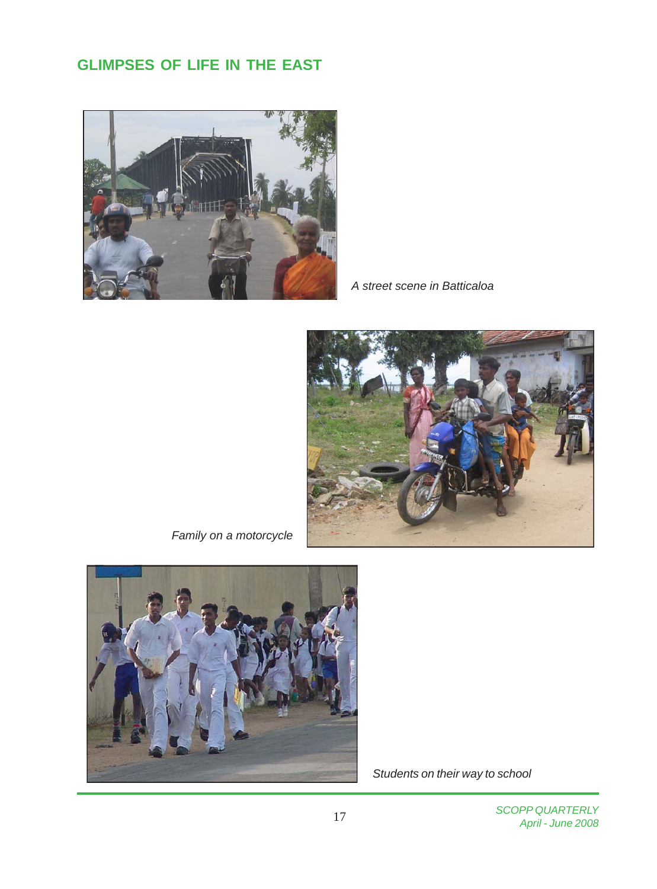# **GLIMPSES OF LIFE IN THE EAST**



*A street scene in Batticaloa*



*Family on a motorcycle*



 *Students on their way to school*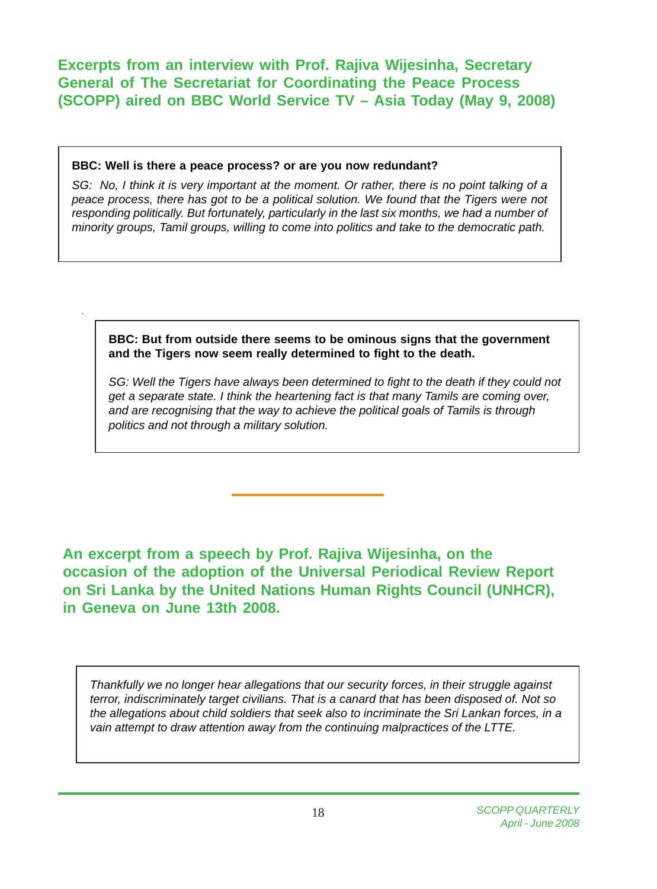**Excerpts from an interview with Prof. Rajiva Wijesinha, Secretary General of The Secretariat for Coordinating the Peace Process (SCOPP) aired on BBC World Service TV – Asia Today (May 9, 2008)**

### **BBC: Well is there a peace process? or are you now redundant?**

*SG: No, I think it is very important at the moment. Or rather, there is no point talking of a peace process, there has got to be a political solution. We found that the Tigers were not responding politically. But fortunately, particularly in the last six months, we had a number of minority groups, Tamil groups, willing to come into politics and take to the democratic path.*

### **BBC: But from outside there seems to be ominous signs that the government and the Tigers now seem really determined to fight to the death.**

*SG: Well the Tigers have always been determined to fight to the death if they could not get a separate state. I think the heartening fact is that many Tamils are coming over, and are recognising that the way to achieve the political goals of Tamils is through politics and not through a military solution.*

**An excerpt from a speech by Prof. Rajiva Wijesinha, on the occasion of the adoption of the Universal Periodical Review Report on Sri Lanka by the United Nations Human Rights Council (UNHCR), in Geneva on June 13th 2008.**

*Thankfully we no longer hear allegations that our security forces, in their struggle against terror, indiscriminately target civilians. That is a canard that has been disposed of. Not so the allegations about child soldiers that seek also to incriminate the Sri Lankan forces, in a vain attempt to draw attention away from the continuing malpractices of the LTTE.*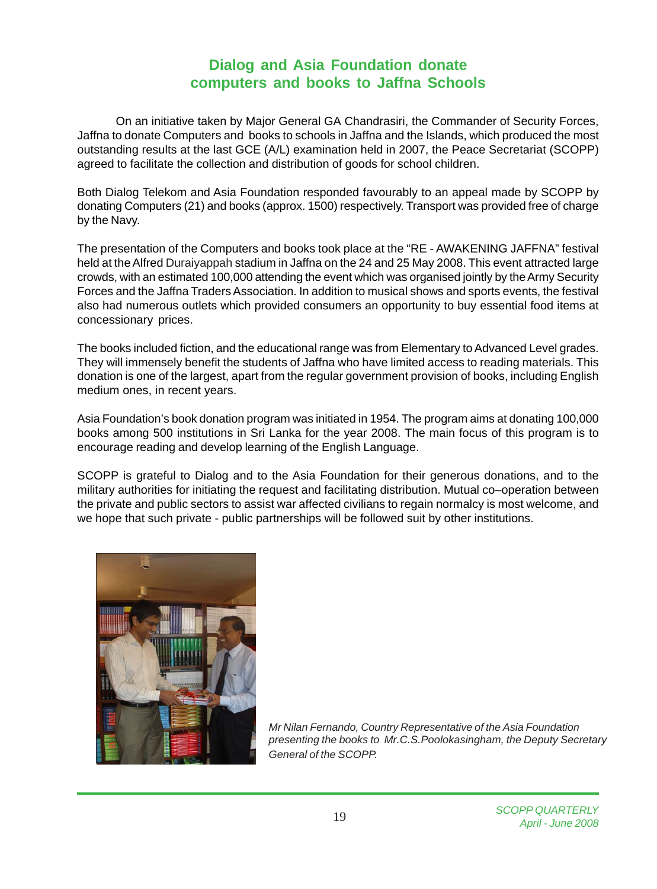## **Dialog and Asia Foundation donate computers and books to Jaffna Schools**

On an initiative taken by Major General GA Chandrasiri, the Commander of Security Forces, Jaffna to donate Computers and books to schools in Jaffna and the Islands, which produced the most outstanding results at the last GCE (A/L) examination held in 2007, the Peace Secretariat (SCOPP) agreed to facilitate the collection and distribution of goods for school children.

Both Dialog Telekom and Asia Foundation responded favourably to an appeal made by SCOPP by donating Computers (21) and books (approx. 1500) respectively. Transport was provided free of charge by the Navy.

The presentation of the Computers and books took place at the "RE - AWAKENING JAFFNA" festival held at the Alfred Duraiyappah stadium in Jaffna on the 24 and 25 May 2008. This event attracted large crowds, with an estimated 100,000 attending the event which was organised jointly by the Army Security Forces and the Jaffna Traders Association. In addition to musical shows and sports events, the festival also had numerous outlets which provided consumers an opportunity to buy essential food items at concessionary prices.

The books included fiction, and the educational range was from Elementary to Advanced Level grades. They will immensely benefit the students of Jaffna who have limited access to reading materials. This donation is one of the largest, apart from the regular government provision of books, including English medium ones, in recent years.

Asia Foundation's book donation program was initiated in 1954. The program aims at donating 100,000 books among 500 institutions in Sri Lanka for the year 2008. The main focus of this program is to encourage reading and develop learning of the English Language.

SCOPP is grateful to Dialog and to the Asia Foundation for their generous donations, and to the military authorities for initiating the request and facilitating distribution. Mutual co–operation between the private and public sectors to assist war affected civilians to regain normalcy is most welcome, and we hope that such private - public partnerships will be followed suit by other institutions.



*Mr Nilan Fernando, Country Representative of the Asia Foundation presenting the books to Mr.C.S.Poolokasingham, the Deputy Secretary General of the SCOPP.*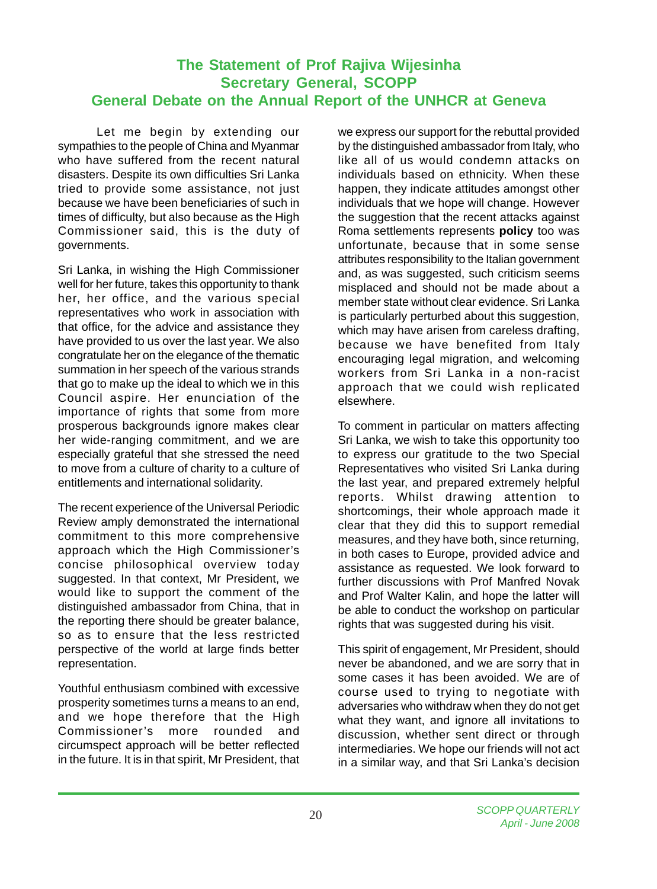## **The Statement of Prof Rajiva Wijesinha Secretary General, SCOPP General Debate on the Annual Report of the UNHCR at Geneva**

Let me begin by extending our sympathies to the people of China and Myanmar who have suffered from the recent natural disasters. Despite its own difficulties Sri Lanka tried to provide some assistance, not just because we have been beneficiaries of such in times of difficulty, but also because as the High Commissioner said, this is the duty of governments.

Sri Lanka, in wishing the High Commissioner well for her future, takes this opportunity to thank her, her office, and the various special representatives who work in association with that office, for the advice and assistance they have provided to us over the last year. We also congratulate her on the elegance of the thematic summation in her speech of the various strands that go to make up the ideal to which we in this Council aspire. Her enunciation of the importance of rights that some from more prosperous backgrounds ignore makes clear her wide-ranging commitment, and we are especially grateful that she stressed the need to move from a culture of charity to a culture of entitlements and international solidarity.

The recent experience of the Universal Periodic Review amply demonstrated the international commitment to this more comprehensive approach which the High Commissioner's concise philosophical overview today suggested. In that context, Mr President, we would like to support the comment of the distinguished ambassador from China, that in the reporting there should be greater balance, so as to ensure that the less restricted perspective of the world at large finds better representation.

Youthful enthusiasm combined with excessive prosperity sometimes turns a means to an end, and we hope therefore that the High Commissioner's more rounded and circumspect approach will be better reflected in the future. It is in that spirit, Mr President, that we express our support for the rebuttal provided by the distinguished ambassador from Italy, who like all of us would condemn attacks on individuals based on ethnicity. When these happen, they indicate attitudes amongst other individuals that we hope will change. However the suggestion that the recent attacks against Roma settlements represents **policy** too was unfortunate, because that in some sense attributes responsibility to the Italian government and, as was suggested, such criticism seems misplaced and should not be made about a member state without clear evidence. Sri Lanka is particularly perturbed about this suggestion, which may have arisen from careless drafting, because we have benefited from Italy encouraging legal migration, and welcoming workers from Sri Lanka in a non-racist approach that we could wish replicated elsewhere.

To comment in particular on matters affecting Sri Lanka, we wish to take this opportunity too to express our gratitude to the two Special Representatives who visited Sri Lanka during the last year, and prepared extremely helpful reports. Whilst drawing attention to shortcomings, their whole approach made it clear that they did this to support remedial measures, and they have both, since returning, in both cases to Europe, provided advice and assistance as requested. We look forward to further discussions with Prof Manfred Novak and Prof Walter Kalin, and hope the latter will be able to conduct the workshop on particular rights that was suggested during his visit.

This spirit of engagement, Mr President, should never be abandoned, and we are sorry that in some cases it has been avoided. We are of course used to trying to negotiate with adversaries who withdraw when they do not get what they want, and ignore all invitations to discussion, whether sent direct or through intermediaries. We hope our friends will not act in a similar way, and that Sri Lanka's decision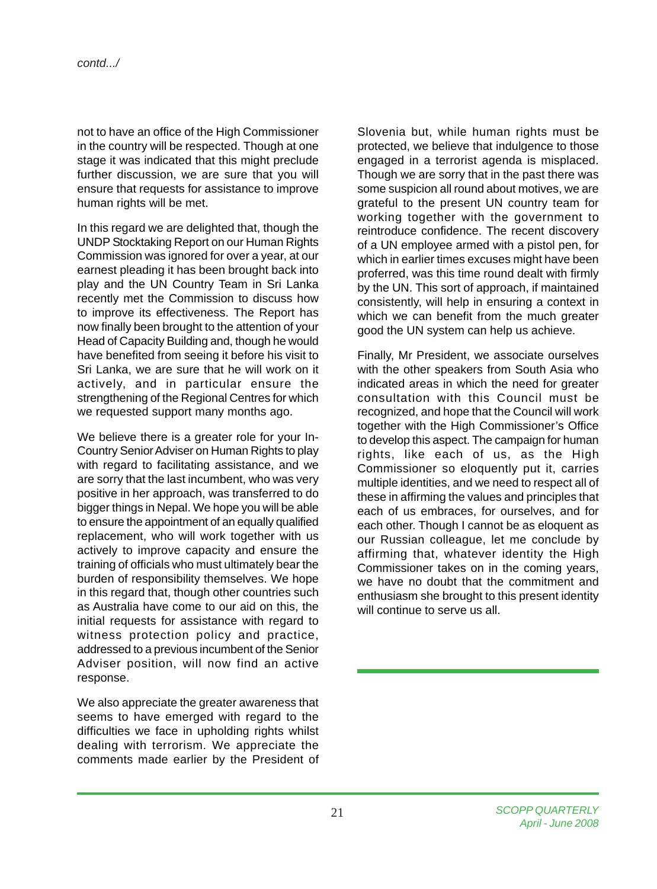not to have an office of the High Commissioner in the country will be respected. Though at one stage it was indicated that this might preclude further discussion, we are sure that you will ensure that requests for assistance to improve human rights will be met.

In this regard we are delighted that, though the UNDP Stocktaking Report on our Human Rights Commission was ignored for over a year, at our earnest pleading it has been brought back into play and the UN Country Team in Sri Lanka recently met the Commission to discuss how to improve its effectiveness. The Report has now finally been brought to the attention of your Head of Capacity Building and, though he would have benefited from seeing it before his visit to Sri Lanka, we are sure that he will work on it actively, and in particular ensure the strengthening of the Regional Centres for which we requested support many months ago.

We believe there is a greater role for your In-Country Senior Adviser on Human Rights to play with regard to facilitating assistance, and we are sorry that the last incumbent, who was very positive in her approach, was transferred to do bigger things in Nepal. We hope you will be able to ensure the appointment of an equally qualified replacement, who will work together with us actively to improve capacity and ensure the training of officials who must ultimately bear the burden of responsibility themselves. We hope in this regard that, though other countries such as Australia have come to our aid on this, the initial requests for assistance with regard to witness protection policy and practice, addressed to a previous incumbent of the Senior Adviser position, will now find an active response.

We also appreciate the greater awareness that seems to have emerged with regard to the difficulties we face in upholding rights whilst dealing with terrorism. We appreciate the comments made earlier by the President of

Slovenia but, while human rights must be protected, we believe that indulgence to those engaged in a terrorist agenda is misplaced. Though we are sorry that in the past there was some suspicion all round about motives, we are grateful to the present UN country team for working together with the government to reintroduce confidence. The recent discovery of a UN employee armed with a pistol pen, for which in earlier times excuses might have been proferred, was this time round dealt with firmly by the UN. This sort of approach, if maintained consistently, will help in ensuring a context in which we can benefit from the much greater good the UN system can help us achieve.

Finally, Mr President, we associate ourselves with the other speakers from South Asia who indicated areas in which the need for greater consultation with this Council must be recognized, and hope that the Council will work together with the High Commissioner's Office to develop this aspect. The campaign for human rights, like each of us, as the High Commissioner so eloquently put it, carries multiple identities, and we need to respect all of these in affirming the values and principles that each of us embraces, for ourselves, and for each other. Though I cannot be as eloquent as our Russian colleague, let me conclude by affirming that, whatever identity the High Commissioner takes on in the coming years, we have no doubt that the commitment and enthusiasm she brought to this present identity will continue to serve us all.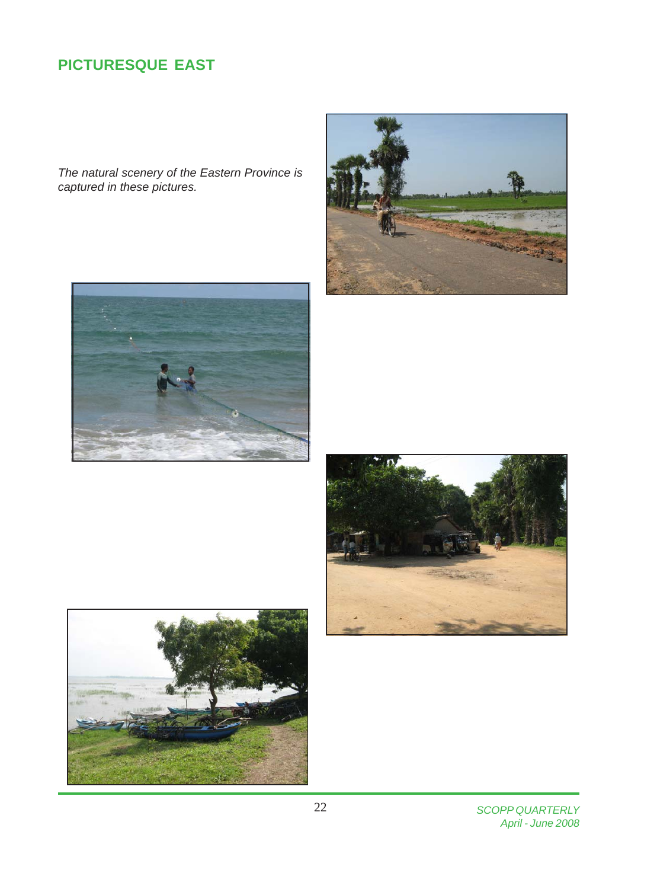# **PICTURESQUE EAST**

*The natural scenery of the Eastern Province is captured in these pictures.*









*SCOPP QUARTERLY April - June 2008*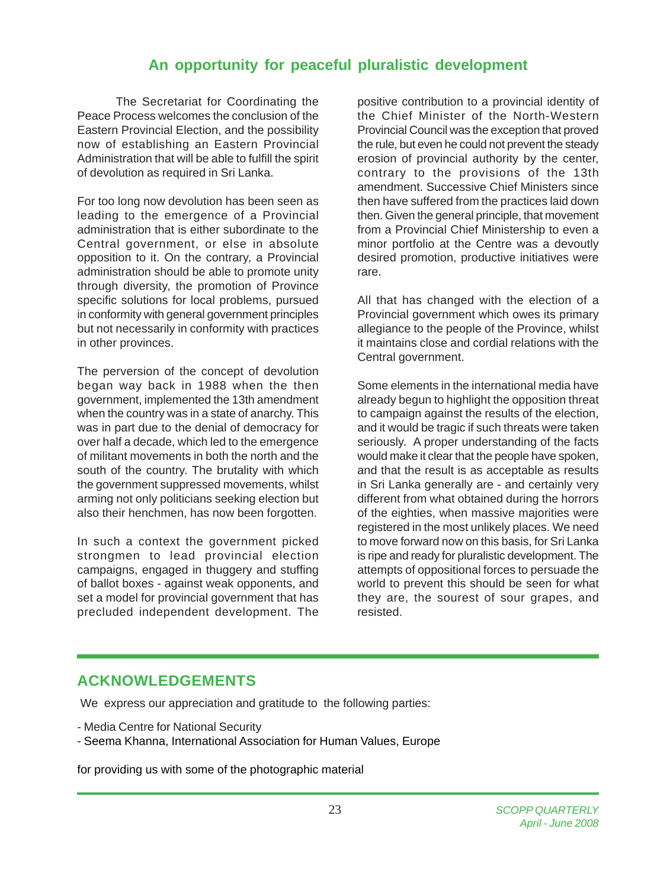## **An opportunity for peaceful pluralistic development**

The Secretariat for Coordinating the Peace Process welcomes the conclusion of the Eastern Provincial Election, and the possibility now of establishing an Eastern Provincial Administration that will be able to fulfill the spirit of devolution as required in Sri Lanka.

For too long now devolution has been seen as leading to the emergence of a Provincial administration that is either subordinate to the Central government, or else in absolute opposition to it. On the contrary, a Provincial administration should be able to promote unity through diversity, the promotion of Province specific solutions for local problems, pursued in conformity with general government principles but not necessarily in conformity with practices in other provinces.

The perversion of the concept of devolution began way back in 1988 when the then government, implemented the 13th amendment when the country was in a state of anarchy. This was in part due to the denial of democracy for over half a decade, which led to the emergence of militant movements in both the north and the south of the country. The brutality with which the government suppressed movements, whilst arming not only politicians seeking election but also their henchmen, has now been forgotten.

In such a context the government picked strongmen to lead provincial election campaigns, engaged in thuggery and stuffing of ballot boxes - against weak opponents, and set a model for provincial government that has precluded independent development. The

positive contribution to a provincial identity of the Chief Minister of the North-Western Provincial Council was the exception that proved the rule, but even he could not prevent the steady erosion of provincial authority by the center, contrary to the provisions of the 13th amendment. Successive Chief Ministers since then have suffered from the practices laid down then. Given the general principle, that movement from a Provincial Chief Ministership to even a minor portfolio at the Centre was a devoutly desired promotion, productive initiatives were rare.

All that has changed with the election of a Provincial government which owes its primary allegiance to the people of the Province, whilst it maintains close and cordial relations with the Central government.

Some elements in the international media have already begun to highlight the opposition threat to campaign against the results of the election, and it would be tragic if such threats were taken seriously. A proper understanding of the facts would make it clear that the people have spoken, and that the result is as acceptable as results in Sri Lanka generally are - and certainly very different from what obtained during the horrors of the eighties, when massive majorities were registered in the most unlikely places. We need to move forward now on this basis, for Sri Lanka is ripe and ready for pluralistic development. The attempts of oppositional forces to persuade the world to prevent this should be seen for what they are, the sourest of sour grapes, and resisted.

## **ACKNOWLEDGEMENTS**

We express our appreciation and gratitude to the following parties:

- Media Centre for National Security

- Seema Khanna, International Association for Human Values, Europe

for providing us with some of the photographic material